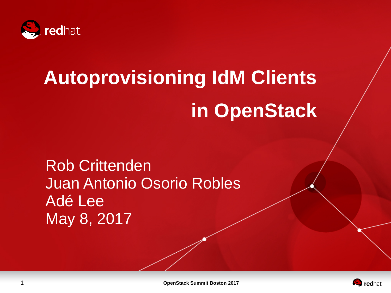

# **Autoprovisioning IdM Clients in OpenStack**

Rob Crittenden Juan Antonio Osorio Robles Adé Lee May 8, 2017



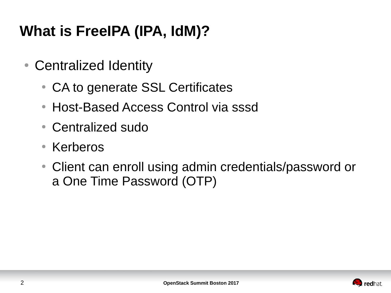## **What is FreeIPA (IPA, IdM)?**

- Centralized Identity
	- CA to generate SSL Certificates
	- Host-Based Access Control via sssd
	- Centralized sudo
	- Kerberos
	- Client can enroll using admin credentials/password or a One Time Password (OTP)

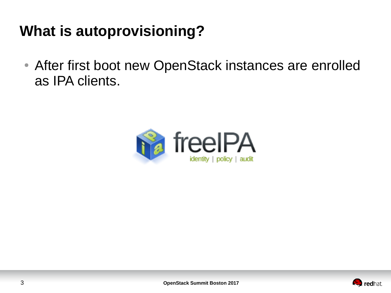## **What is autoprovisioning?**

• After first boot new OpenStack instances are enrolled as IPA clients.



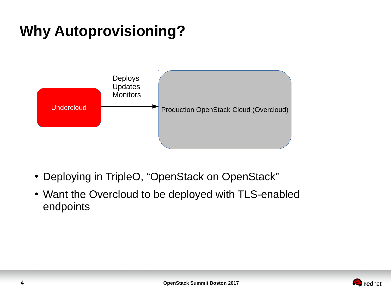## **Why Autoprovisioning?**



- Deploying in TripleO, "OpenStack on OpenStack"
- Want the Overcloud to be deployed with TLS-enabled endpoints

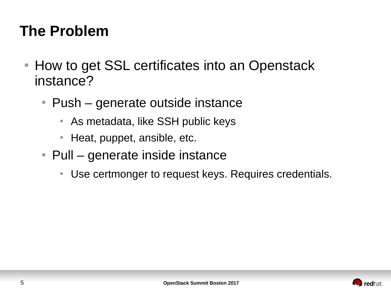## **The Problem**

- How to get SSL certificates into an Openstack instance?
	- $\bullet$  Push generate outside instance
		- As metadata, like SSH public keys
		- Heat, puppet, ansible, etc.
	- $\bullet$  Pull generate inside instance
		- Use certmonger to request keys. Requires credentials.

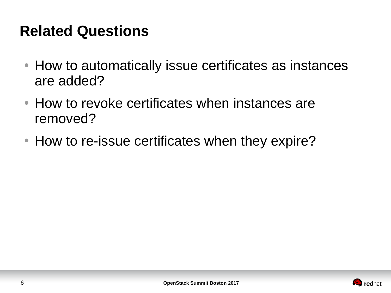### **Related Questions**

- How to automatically issue certificates as instances are added?
- How to revoke certificates when instances are removed?
- How to re-issue certificates when they expire?

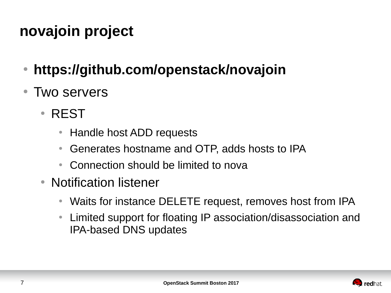## **novajoin project**

- **https://github.com/openstack/novajoin**
- Two servers
	- REST
		- Handle host ADD requests
		- Generates hostname and OTP, adds hosts to IPA
		- Connection should be limited to nova
	- Notification listener
		- Waits for instance DELETE request, removes host from IPA
		- Limited support for floating IP association/disassociation and IPA-based DNS updates

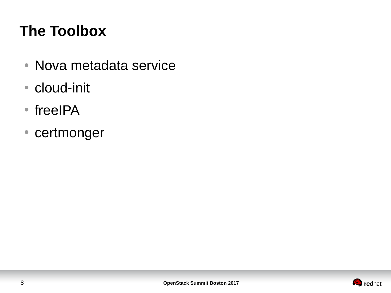## **The Toolbox**

- Nova metadata service
- cloud-init
- freeIPA
- certmonger

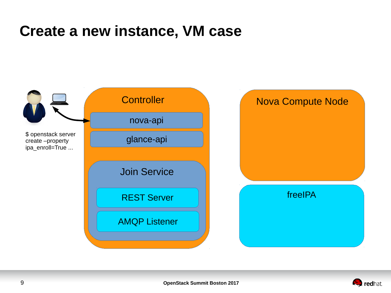#### **Create a new instance, VM case**



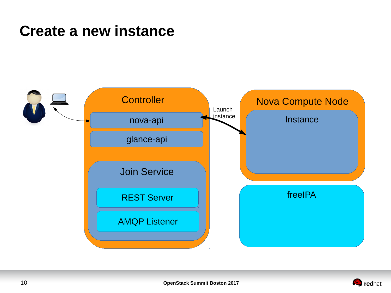#### **Create a new instance**



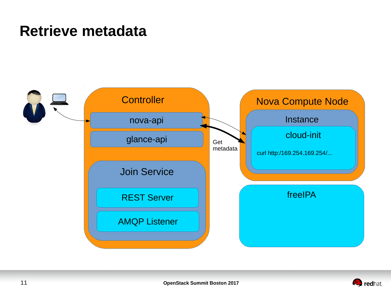#### **Retrieve metadata**



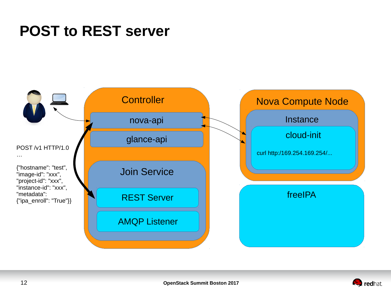#### **POST to REST server**



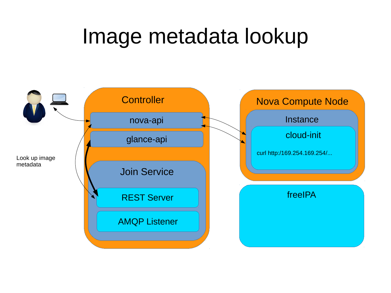## Image metadata lookup

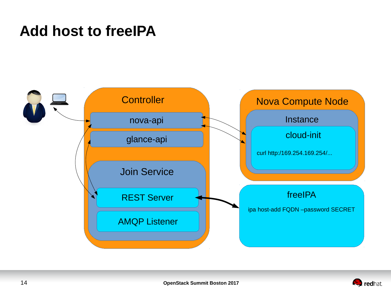#### **Add host to freeIPA**



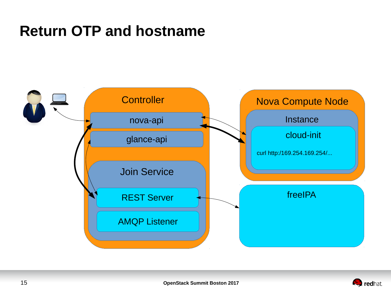#### **Return OTP and hostname**



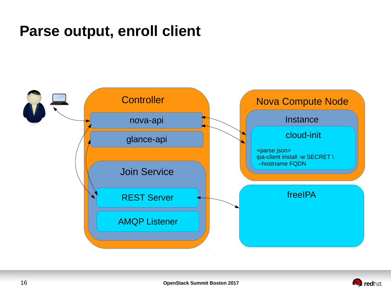#### **Parse output, enroll client**



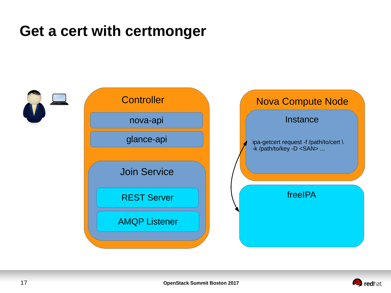#### **Get a cert with certmonger**



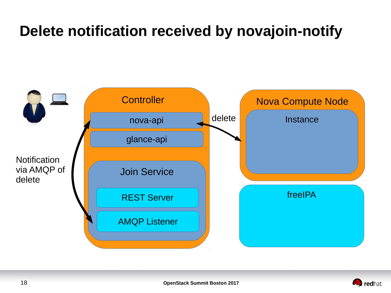## **Delete notification received by novajoin-notify**



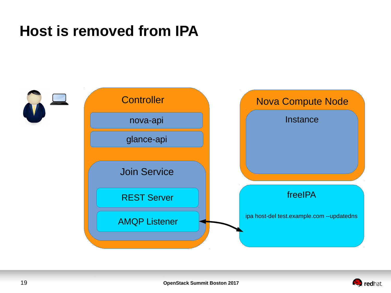#### **Host is removed from IPA**



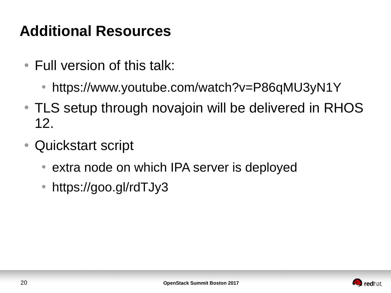## **Additional Resources**

- $\bullet$  Full version of this talk:
	- https://www.youtube.com/watch?v=P86qMU3yN1Y
- TLS setup through novajoin will be delivered in RHOS 12.
- Quickstart script
	- extra node on which IPA server is deployed
	- https://goo.gl/rdTJy3